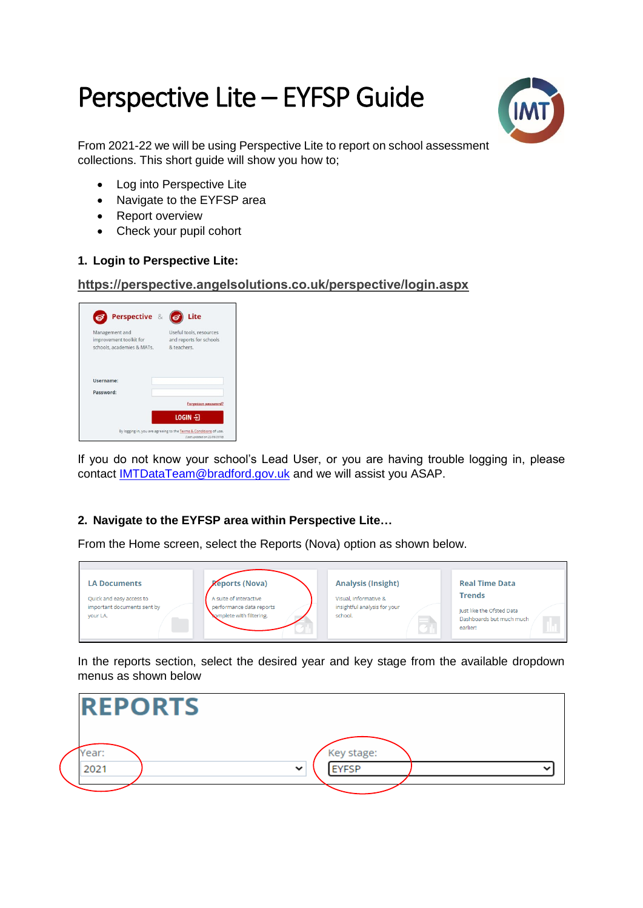# Perspective Lite – EYFSP Guide



From 2021-22 we will be using Perspective Lite to report on school assessment collections. This short quide will show you how to:

- Log into Perspective Lite
- Navigate to the EYFSP area
- Report overview
- Check your pupil cohort

## **1. Login to Perspective Lite:**

#### **<https://perspective.angelsolutions.co.uk/perspective/login.aspx>**

| Perspective &                                                           | Lite                                                              |
|-------------------------------------------------------------------------|-------------------------------------------------------------------|
| Management and<br>improvement toolkit for<br>schools, academies & MATs. | Useful tools, resources<br>and reports for schools<br>& teachers. |
| Username:                                                               |                                                                   |
| Password:                                                               |                                                                   |
|                                                                         |                                                                   |
|                                                                         | Forgotten password?                                               |

If you do not know your school's Lead User, or you are having trouble logging in, please contact [IMTDataTeam@bradford.gov.uk](mailto:IMTDataTeam@bradford.gov.uk) and we will assist you ASAP.

# **2. Navigate to the EYFSP area within Perspective Lite…**

From the Home screen, select the Reports (Nova) option as shown below.



In the reports section, select the desired year and key stage from the available dropdown menus as shown below

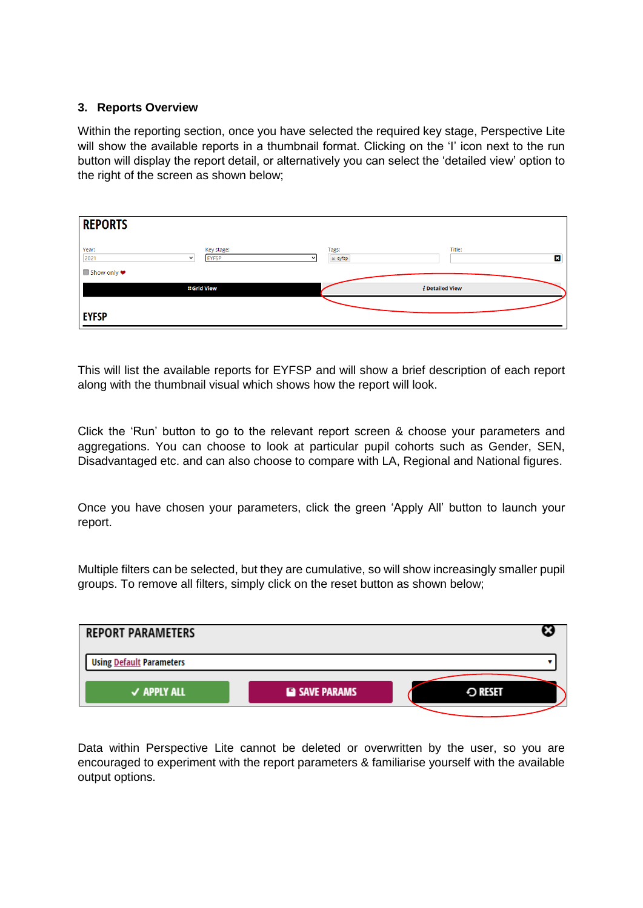### **3. Reports Overview**

Within the reporting section, once you have selected the required key stage, Perspective Lite will show the available reports in a thumbnail format. Clicking on the 'I' icon next to the run button will display the report detail, or alternatively you can select the 'detailed view' option to the right of the screen as shown below;

| <b>REPORTS</b>                |                                            |                    |             |
|-------------------------------|--------------------------------------------|--------------------|-------------|
| Year:<br>2021<br>$\checkmark$ | Key stage:<br><b>EYFSP</b><br>$\checkmark$ | Tags:<br>$x$ eyfsp | Title:<br>× |
| ■ Show only ♥                 | <b>:: Grid View</b>                        | $i$ Detailed View  |             |
| <b>EYFSP</b>                  |                                            |                    |             |

This will list the available reports for EYFSP and will show a brief description of each report along with the thumbnail visual which shows how the report will look.

Click the 'Run' button to go to the relevant report screen & choose your parameters and aggregations. You can choose to look at particular pupil cohorts such as Gender, SEN, Disadvantaged etc. and can also choose to compare with LA, Regional and National figures.

Once you have chosen your parameters, click the green 'Apply All' button to launch your report.

Multiple filters can be selected, but they are cumulative, so will show increasingly smaller pupil groups. To remove all filters, simply click on the reset button as shown below;



Data within Perspective Lite cannot be deleted or overwritten by the user, so you are encouraged to experiment with the report parameters & familiarise yourself with the available output options.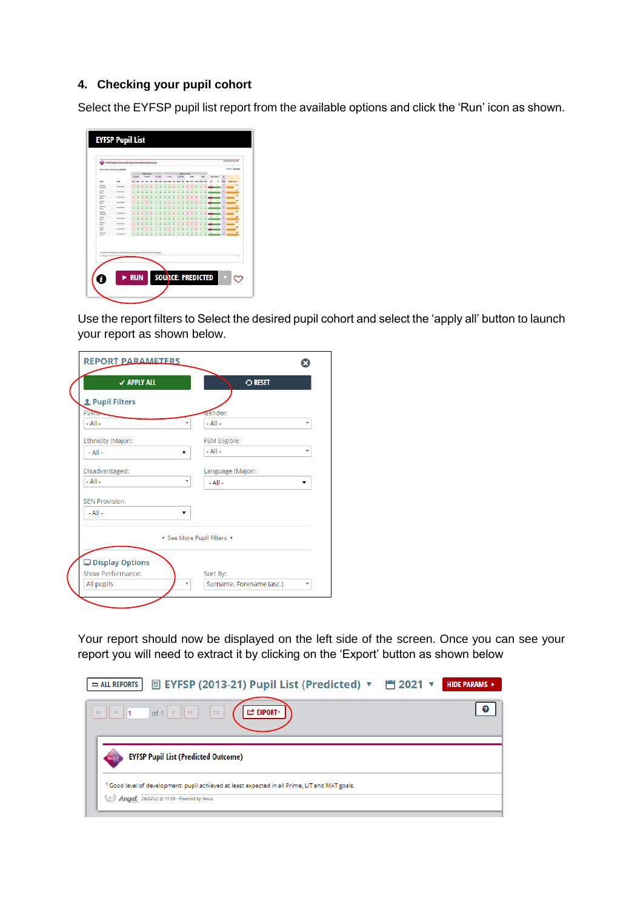## **4. Checking your pupil cohort**

Select the EYFSP pupil list report from the available options and click the 'Run' icon as shown.

|                             | 1910 USS Aivelrony (2006)                                                                                                                                                                                                                                                                                                                                                                                                                                                  |            |              |                   |  |    |  |   |                 |               |   | <b><i><u>Strict Mage</u></i></b> |
|-----------------------------|----------------------------------------------------------------------------------------------------------------------------------------------------------------------------------------------------------------------------------------------------------------------------------------------------------------------------------------------------------------------------------------------------------------------------------------------------------------------------|------------|--------------|-------------------|--|----|--|---|-----------------|---------------|---|----------------------------------|
|                             |                                                                                                                                                                                                                                                                                                                                                                                                                                                                            | ---        | <b>START</b> | <b>STATE OF</b>   |  | -- |  |   | <b>ASSESSED</b> |               |   |                                  |
| <b>but</b>                  | <b>STR</b>                                                                                                                                                                                                                                                                                                                                                                                                                                                                 |            |              |                   |  |    |  |   |                 |               |   |                                  |
| $-$<br>$\frac{1}{2}$        | $\frac{1}{2} \left( \frac{1}{2} \right) \left( \frac{1}{2} \right) \left( \frac{1}{2} \right) \left( \frac{1}{2} \right) \left( \frac{1}{2} \right) \left( \frac{1}{2} \right) \left( \frac{1}{2} \right) \left( \frac{1}{2} \right) \left( \frac{1}{2} \right) \left( \frac{1}{2} \right) \left( \frac{1}{2} \right) \left( \frac{1}{2} \right) \left( \frac{1}{2} \right) \left( \frac{1}{2} \right) \left( \frac{1}{2} \right) \left( \frac{1}{2} \right) \left( \frac$ |            |              |                   |  |    |  |   | i               |               |   |                                  |
| -<br>-                      | -                                                                                                                                                                                                                                                                                                                                                                                                                                                                          |            |              |                   |  |    |  |   | ٠               | $\rightarrow$ |   |                                  |
| 1000<br>-                   |                                                                                                                                                                                                                                                                                                                                                                                                                                                                            |            |              |                   |  |    |  |   | $-$             |               |   |                                  |
| <b>MARKET</b><br>$=$        | ___                                                                                                                                                                                                                                                                                                                                                                                                                                                                        |            |              |                   |  |    |  |   | ×               | $\sim$        |   |                                  |
| -<br>$\sim$                 | -                                                                                                                                                                                                                                                                                                                                                                                                                                                                          |            |              |                   |  |    |  |   | ٠               | ÷             |   |                                  |
| $-$<br>=                    | -                                                                                                                                                                                                                                                                                                                                                                                                                                                                          |            |              |                   |  |    |  |   | $1 - 1$         |               |   |                                  |
| since.<br>$\equiv$          | -                                                                                                                                                                                                                                                                                                                                                                                                                                                                          |            |              |                   |  |    |  |   | ۰               | $\sim$        |   |                                  |
| <b>COLOR</b><br><b>SHOP</b> |                                                                                                                                                                                                                                                                                                                                                                                                                                                                            |            |              |                   |  |    |  |   | ۷               | $\rightarrow$ |   |                                  |
| <b>START</b><br>$\equiv$    |                                                                                                                                                                                                                                                                                                                                                                                                                                                                            |            |              |                   |  |    |  |   | ä.              | ٠             |   |                                  |
| <b>STATE</b><br>$-$         | $\frac{1}{2} \left( \frac{1}{2} \right) \left( \frac{1}{2} \right) \left( \frac{1}{2} \right) \left( \frac{1}{2} \right) \left( \frac{1}{2} \right) \left( \frac{1}{2} \right) \left( \frac{1}{2} \right) \left( \frac{1}{2} \right) \left( \frac{1}{2} \right) \left( \frac{1}{2} \right) \left( \frac{1}{2} \right) \left( \frac{1}{2} \right) \left( \frac{1}{2} \right) \left( \frac{1}{2} \right) \left( \frac{1}{2} \right) \left( \frac{1}{2} \right) \left( \frac$ | ٠          |              |                   |  |    |  | ï | <b>All of</b>   |               | ï |                                  |
| to had more on<br>ū         | on al-ab alsactuative a part del constituzione consisterio carificeno, a la costratali guerra                                                                                                                                                                                                                                                                                                                                                                              | <b>RUN</b> |              | SOUNCE: PREDICTED |  |    |  |   |                 |               |   | w                                |

Use the report filters to Select the desired pupil cohort and select the 'apply all' button to launch your report as shown below.

| <b>REPORT PARAMETERS</b>                      |                               |
|-----------------------------------------------|-------------------------------|
| <b>√ APPLY ALL</b>                            | <b>O RESET</b>                |
| <b>1</b> Pupil Filters                        |                               |
| <b>FSMO:</b>                                  | sender:                       |
| $-$ All $-$                                   | $-$ All $-$                   |
| Ethnicity (Major):                            | FSM Eligible:                 |
| $-$ All $-$<br>۷                              | $-$ All $-$                   |
| Disadvantaged:                                | Language (Major):             |
| $-$ All $-$<br>$\overline{\phantom{a}}$       | $-$ All $-$<br>v              |
| <b>SEN Provision:</b>                         |                               |
| $-$ All $-$                                   |                               |
|                                               | ▼ See More Pupil Filters ▼    |
| □ Display Options<br><b>Show Performance:</b> | Sort By:                      |
| All pupils<br>$\overline{\phantom{a}}$        | Surname, Forename (asc.)<br>÷ |
|                                               |                               |

Your report should now be displayed on the left side of the screen. Once you can see your report you will need to extract it by clicking on the 'Export' button as shown below

| 圓 EYFSP (2013-21) Pupil List (Predicted) ▼ 首 2021 ▼<br>$\Rightarrow$ ALL REPORTS                                                                       | HIDE PARAMS > |
|--------------------------------------------------------------------------------------------------------------------------------------------------------|---------------|
| $   \cdot   _1$ of $1 \rvert$ $   \cdot    \cdot   _2$<br><b>LE EXPORT</b><br>H.                                                                       | 0             |
| <b>EYFSP Pupil List (Predicted Outcome)</b><br><b>NCER</b>                                                                                             |               |
| <sup>1</sup> Good level of development: pupil achieved at least expected in all Prime, LIT and MAT goals.<br>Angel 28/02/22 @ 11:09 - Powered by Nexus |               |
|                                                                                                                                                        |               |